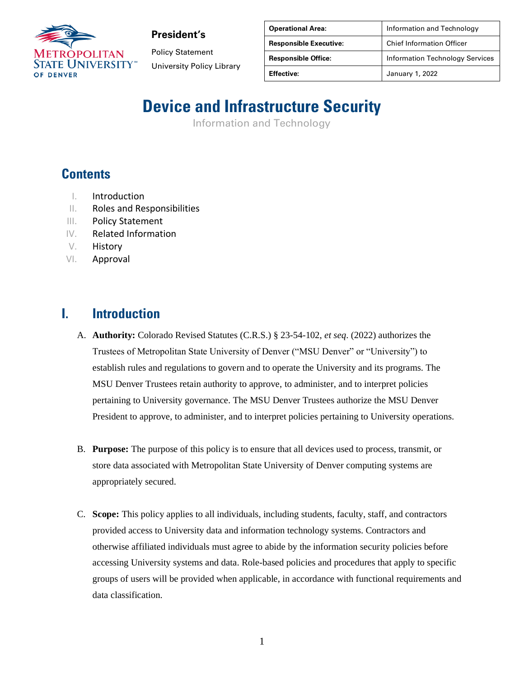

**President's**

Policy Statement University Policy Library

| <b>Operational Area:</b>      | Information and Technology             |
|-------------------------------|----------------------------------------|
| <b>Responsible Executive:</b> | <b>Chief Information Officer</b>       |
| <b>Responsible Office:</b>    | <b>Information Technology Services</b> |
| <b>Effective:</b>             | January 1, 2022                        |

# **Device and Infrastructure Security**

Information and Technology

## **Contents**

- I. Introduction
- II. Roles and Responsibilities
- III. Policy Statement
- IV. Related Information
- V. History
- VI. Approval

#### **I. Introduction**

- A. **Authority:** Colorado Revised Statutes (C.R.S.) § 23-54-102, *et seq*. (2022) authorizes the Trustees of Metropolitan State University of Denver ("MSU Denver" or "University") to establish rules and regulations to govern and to operate the University and its programs. The MSU Denver Trustees retain authority to approve, to administer, and to interpret policies pertaining to University governance. The MSU Denver Trustees authorize the MSU Denver President to approve, to administer, and to interpret policies pertaining to University operations.
- B. **Purpose:** The purpose of this policy is to ensure that all devices used to process, transmit, or store data associated with Metropolitan State University of Denver computing systems are appropriately secured.
- C. **Scope:** This policy applies to all individuals, including students, faculty, staff, and contractors provided access to University data and information technology systems. Contractors and otherwise affiliated individuals must agree to abide by the information security policies before accessing University systems and data. Role-based policies and procedures that apply to specific groups of users will be provided when applicable, in accordance with functional requirements and data classification.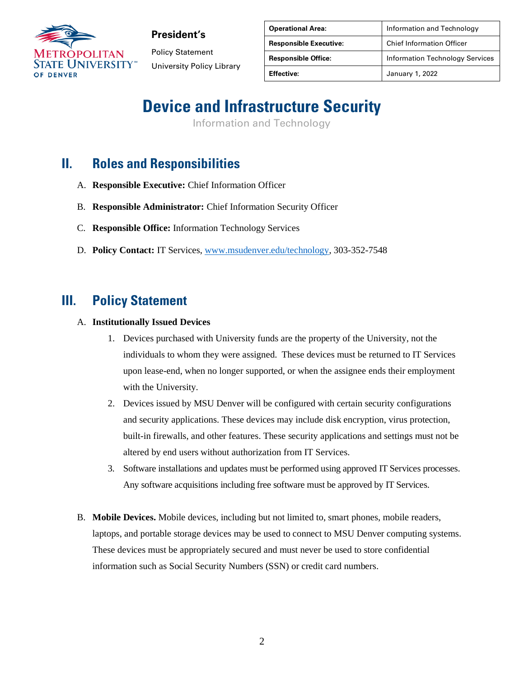

**President's**

Policy Statement University Policy Library

| <b>Operational Area:</b>      | Information and Technology             |
|-------------------------------|----------------------------------------|
| <b>Responsible Executive:</b> | <b>Chief Information Officer</b>       |
| <b>Responsible Office:</b>    | <b>Information Technology Services</b> |
| <b>Effective:</b>             | January 1, 2022                        |

## **Device and Infrastructure Security**

Information and Technology

### **II. Roles and Responsibilities**

- A. **Responsible Executive:** Chief Information Officer
- B. **Responsible Administrator:** Chief Information Security Officer
- C. **Responsible Office:** Information Technology Services
- D. **Policy Contact:** IT Services, [www.msudenver.edu/technology,](http://www.msudenver.edu/technology) 303-352-7548

#### **III. Policy Statement**

#### A. **Institutionally Issued Devices**

- 1. Devices purchased with University funds are the property of the University, not the individuals to whom they were assigned. These devices must be returned to IT Services upon lease-end, when no longer supported, or when the assignee ends their employment with the University.
- 2. Devices issued by MSU Denver will be configured with certain security configurations and security applications. These devices may include disk encryption, virus protection, built-in firewalls, and other features. These security applications and settings must not be altered by end users without authorization from IT Services.
- 3. Software installations and updates must be performed using approved IT Services processes. Any software acquisitions including free software must be approved by IT Services.
- B. **Mobile Devices.** Mobile devices, including but not limited to, smart phones, mobile readers, laptops, and portable storage devices may be used to connect to MSU Denver computing systems. These devices must be appropriately secured and must never be used to store confidential information such as Social Security Numbers (SSN) or credit card numbers.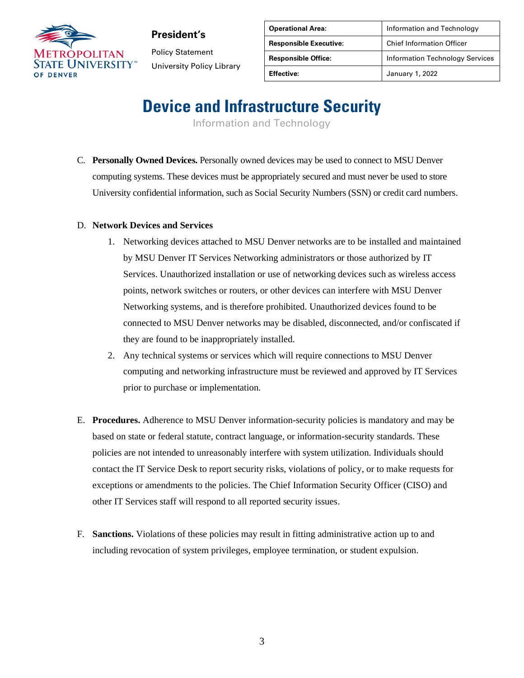

**President's** Policy Statement University Policy Library

| <b>Operational Area:</b>      | Information and Technology             |
|-------------------------------|----------------------------------------|
| <b>Responsible Executive:</b> | <b>Chief Information Officer</b>       |
| <b>Responsible Office:</b>    | <b>Information Technology Services</b> |
| <b>Effective:</b>             | January 1, 2022                        |

## **Device and Infrastructure Security**

Information and Technology

C. **Personally Owned Devices.** Personally owned devices may be used to connect to MSU Denver computing systems. These devices must be appropriately secured and must never be used to store University confidential information, such as Social Security Numbers (SSN) or credit card numbers.

#### D. **Network Devices and Services**

- 1. Networking devices attached to MSU Denver networks are to be installed and maintained by MSU Denver IT Services Networking administrators or those authorized by IT Services. Unauthorized installation or use of networking devices such as wireless access points, network switches or routers, or other devices can interfere with MSU Denver Networking systems, and is therefore prohibited. Unauthorized devices found to be connected to MSU Denver networks may be disabled, disconnected, and/or confiscated if they are found to be inappropriately installed.
- 2. Any technical systems or services which will require connections to MSU Denver computing and networking infrastructure must be reviewed and approved by IT Services prior to purchase or implementation.
- E. **Procedures.** Adherence to MSU Denver information-security policies is mandatory and may be based on state or federal statute, contract language, or information-security standards. These policies are not intended to unreasonably interfere with system utilization. Individuals should contact the IT Service Desk to report security risks, violations of policy, or to make requests for exceptions or amendments to the policies. The Chief Information Security Officer (CISO) and other IT Services staff will respond to all reported security issues.
- F. **Sanctions.** Violations of these policies may result in fitting administrative action up to and including revocation of system privileges, employee termination, or student expulsion.